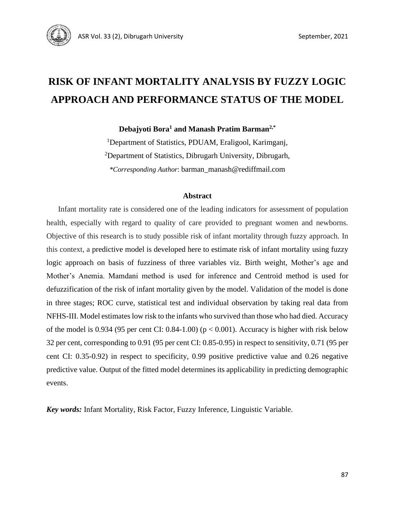

# **RISK OF INFANT MORTALITY ANALYSIS BY FUZZY LOGIC APPROACH AND PERFORMANCE STATUS OF THE MODEL**

**Debajyoti Bora<sup>1</sup> and Manash Pratim Barman2,\***

<sup>1</sup>Department of Statistics, PDUAM, Eraligool, Karimganj, <sup>2</sup>Department of Statistics, Dibrugarh University, Dibrugarh, *\*Corresponding Author*: barman\_manash@rediffmail.com

#### **Abstract**

Infant mortality rate is considered one of the leading indicators for assessment of population health, especially with regard to quality of care provided to pregnant women and newborns. Objective of this research is to study possible risk of infant mortality through fuzzy approach. In this context, a predictive model is developed here to estimate risk of infant mortality using fuzzy logic approach on basis of fuzziness of three variables viz. Birth weight, Mother's age and Mother's Anemia. Mamdani method is used for inference and Centroid method is used for defuzzification of the risk of infant mortality given by the model. Validation of the model is done in three stages; ROC curve, statistical test and individual observation by taking real data from NFHS-III. Model estimates low risk to the infants who survived than those who had died. Accuracy of the model is 0.934 (95 per cent CI: 0.84-1.00) ( $p < 0.001$ ). Accuracy is higher with risk below 32 per cent, corresponding to 0.91 (95 per cent CI: 0.85-0.95) in respect to sensitivity, 0.71 (95 per cent CI: 0.35-0.92) in respect to specificity, 0.99 positive predictive value and 0.26 negative predictive value. Output of the fitted model determines its applicability in predicting demographic events.

*Key words:* Infant Mortality, Risk Factor, Fuzzy Inference, Linguistic Variable.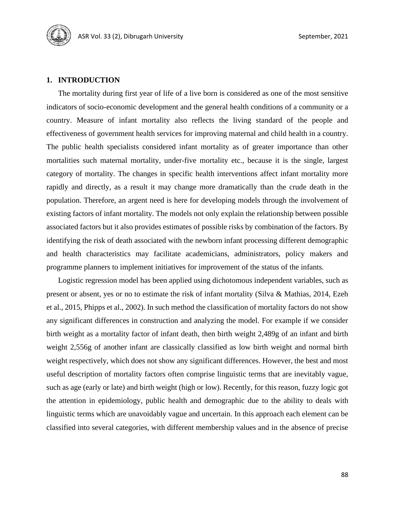# **1. INTRODUCTION**

The mortality during first year of life of a live born is considered as one of the most sensitive indicators of socio-economic development and the general health conditions of a community or a country. Measure of infant mortality also reflects the living standard of the people and effectiveness of government health services for improving maternal and child health in a country. The public health specialists considered infant mortality as of greater importance than other mortalities such maternal mortality, under-five mortality etc., because it is the single, largest category of mortality. The changes in specific health interventions affect infant mortality more rapidly and directly, as a result it may change more dramatically than the crude death in the population. Therefore, an argent need is here for developing models through the involvement of existing factors of infant mortality. The models not only explain the relationship between possible associated factors but it also provides estimates of possible risks by combination of the factors. By identifying the risk of death associated with the newborn infant processing different demographic and health characteristics may facilitate academicians, administrators, policy makers and programme planners to implement initiatives for improvement of the status of the infants.

Logistic regression model has been applied using dichotomous independent variables, such as present or absent, yes or no to estimate the risk of infant mortality (Silva & Mathias, 2014, Ezeh et al., 2015, Phipps et al., 2002). In such method the classification of mortality factors do not show any significant differences in construction and analyzing the model. For example if we consider birth weight as a mortality factor of infant death, then birth weight 2,489g of an infant and birth weight 2,556g of another infant are classically classified as low birth weight and normal birth weight respectively, which does not show any significant differences. However, the best and most useful description of mortality factors often comprise linguistic terms that are inevitably vague, such as age (early or late) and birth weight (high or low). Recently, for this reason, fuzzy logic got the attention in epidemiology, public health and demographic due to the ability to deals with linguistic terms which are unavoidably vague and uncertain. In this approach each element can be classified into several categories, with different membership values and in the absence of precise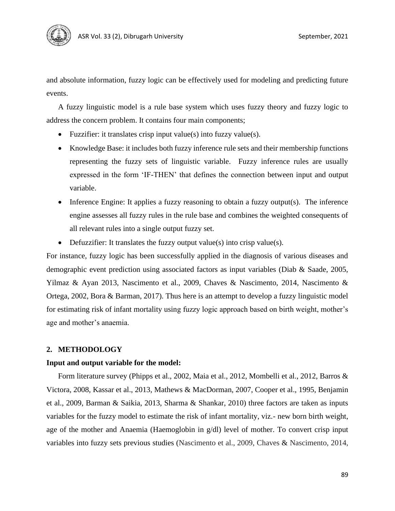

and absolute information, fuzzy logic can be effectively used for modeling and predicting future events.

A fuzzy linguistic model is a rule base system which uses fuzzy theory and fuzzy logic to address the concern problem. It contains four main components;

- Fuzzifier: it translates crisp input value(s) into fuzzy value(s).
- Knowledge Base: it includes both fuzzy inference rule sets and their membership functions representing the fuzzy sets of linguistic variable. Fuzzy inference rules are usually expressed in the form 'IF-THEN' that defines the connection between input and output variable.
- Inference Engine: It applies a fuzzy reasoning to obtain a fuzzy output(s). The inference engine assesses all fuzzy rules in the rule base and combines the weighted consequents of all relevant rules into a single output fuzzy set.
- Defuzzifier: It translates the fuzzy output value(s) into crisp value(s).

For instance, fuzzy logic has been successfully applied in the diagnosis of various diseases and demographic event prediction using associated factors as input variables (Diab & Saade, 2005, Yilmaz & Ayan 2013, Nascimento et al., 2009, Chaves & Nascimento, 2014, Nascimento & Ortega, 2002, Bora & Barman, 2017). Thus here is an attempt to develop a fuzzy linguistic model for estimating risk of infant mortality using fuzzy logic approach based on birth weight, mother's age and mother's anaemia.

#### **2. METHODOLOGY**

#### **Input and output variable for the model:**

Form literature survey (Phipps et al., 2002, Maia et al., 2012, Mombelli et al., 2012, Barros & Victora, 2008, Kassar et al., 2013, Mathews & MacDorman, 2007, Cooper et al., 1995, Benjamin et al., 2009, Barman & Saikia, 2013, Sharma & Shankar, 2010) three factors are taken as inputs variables for the fuzzy model to estimate the risk of infant mortality, viz.- new born birth weight, age of the mother and Anaemia (Haemoglobin in g/dl) level of mother. To convert crisp input variables into fuzzy sets previous studies (Nascimento et al., 2009, Chaves & Nascimento, 2014,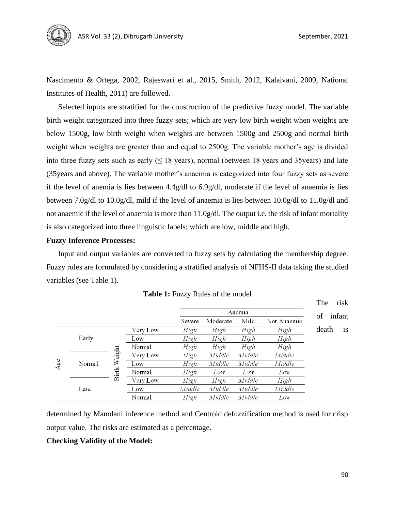

Nascimento & Ortega, 2002, Rajeswari et al., 2015, Smith, 2012, Kalaivani, 2009, National Institutes of Health, 2011) are followed.

Selected inputs are stratified for the construction of the predictive fuzzy model. The variable birth weight categorized into three fuzzy sets; which are very low birth weight when weights are below 1500g, low birth weight when weights are between 1500g and 2500g and normal birth weight when weights are greater than and equal to 2500g. The variable mother's age is divided into three fuzzy sets such as early  $( \leq 18 \text{ years})$ , normal (between 18 years and 35 years) and late (35years and above). The variable mother's anaemia is categorized into four fuzzy sets as severe if the level of anemia is lies between 4.4g/dl to 6.9g/dl, moderate if the level of anaemia is lies between 7.0g/dl to 10.0g/dl, mild if the level of anaemia is lies between 10.0g/dl to 11.0g/dl and not anaemic if the level of anaemia is more than 11.0g/dl. The output i.e. the risk of infant mortality is also categorized into three linguistic labels; which are low, middle and high.

# **Fuzzy Inference Processes:**

Input and output variables are converted to fuzzy sets by calculating the membership degree. Fuzzy rules are formulated by considering a stratified analysis of NFHS-II data taking the studied variables (see Table 1).

|      |        |                        |          |        | Anemia   |        |             |              |    |
|------|--------|------------------------|----------|--------|----------|--------|-------------|--------------|----|
|      |        |                        |          | Severe | Moderate | Mild   | Not Anaemic | infant<br>of |    |
| Agee | Early  |                        | Very Low | High   | High     | High   | High        | death        | is |
|      |        |                        | Low      | High   | High     | High   | High        |              |    |
|      |        | Weight<br><b>Birth</b> | Normal   | High   | High     | High   | High        |              |    |
|      | Normal |                        | Very Low | High   | Middle   | Middle | Middle      |              |    |
|      |        |                        | Low      | High   | Middle   | Middle | Middle      |              |    |
|      |        |                        | Normal   | High   | Low      | Low    | Low         |              |    |
|      | Late   |                        | Very Low | High   | High     | Middle | High        |              |    |
|      |        |                        | Low      | Middle | Middle   | Middle | Middle      |              |    |
|      |        |                        | Normal   | High   | Middle   | Middle | Low         |              |    |

**Table 1:** Fuzzy Rules of the model

determined by Mamdani inference method and Centroid defuzzification method is used for crisp output value. The risks are estimated as a percentage.

# **Checking Validity of the Model:**

The risk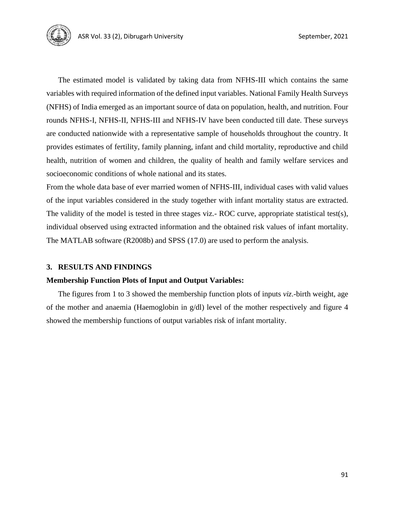

The estimated model is validated by taking data from NFHS-III which contains the same variables with required information of the defined input variables. National Family Health Surveys (NFHS) of India emerged as an important source of data on population, health, and nutrition. Four rounds NFHS-I, NFHS-II, NFHS-III and NFHS-IV have been conducted till date. These surveys are conducted nationwide with a representative sample of households throughout the country. It provides estimates of fertility, family planning, infant and child mortality, reproductive and child health, nutrition of women and children, the quality of health and family welfare services and socioeconomic conditions of whole national and its states.

From the whole data base of ever married women of NFHS-III, individual cases with valid values of the input variables considered in the study together with infant mortality status are extracted. The validity of the model is tested in three stages viz.- ROC curve, appropriate statistical test(s), individual observed using extracted information and the obtained risk values of infant mortality. The MATLAB software (R2008b) and SPSS (17.0) are used to perform the analysis.

# **3. RESULTS AND FINDINGS**

# **Membership Function Plots of Input and Output Variables:**

The figures from 1 to 3 showed the membership function plots of inputs *viz*.-birth weight, age of the mother and anaemia (Haemoglobin in g/dl) level of the mother respectively and figure 4 showed the membership functions of output variables risk of infant mortality.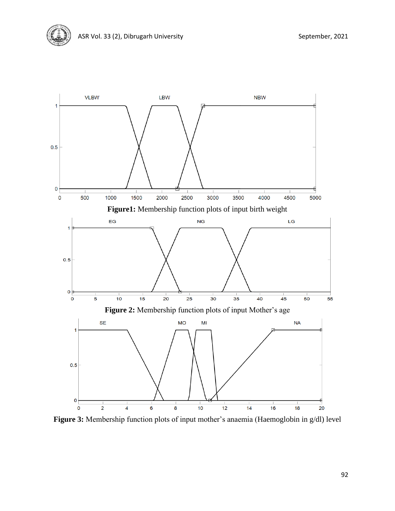

**Figure 3:** Membership function plots of input mother's anaemia (Haemoglobin in g/dl) level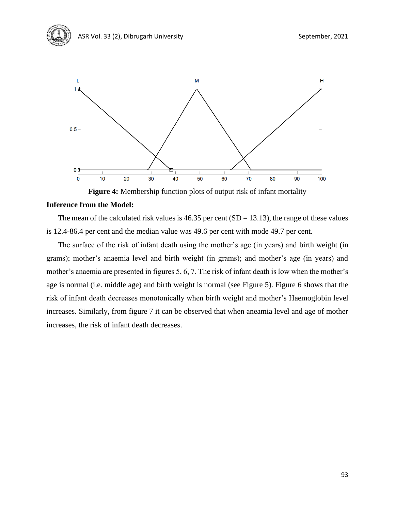

**Figure 4:** Membership function plots of output risk of infant mortality

# **Inference from the Model:**

The mean of the calculated risk values is  $46.35$  per cent (SD = 13.13), the range of these values is 12.4-86.4 per cent and the median value was 49.6 per cent with mode 49.7 per cent.

The surface of the risk of infant death using the mother's age (in years) and birth weight (in grams); mother's anaemia level and birth weight (in grams); and mother's age (in years) and mother's anaemia are presented in figures 5, 6, 7. The risk of infant death is low when the mother's age is normal (i.e. middle age) and birth weight is normal (see Figure 5). Figure 6 shows that the risk of infant death decreases monotonically when birth weight and mother's Haemoglobin level increases. Similarly, from figure 7 it can be observed that when aneamia level and age of mother increases, the risk of infant death decreases.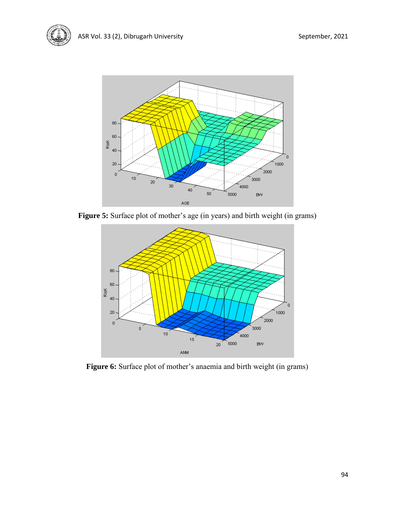

Figure 5: Surface plot of mother's age (in years) and birth weight (in grams)



**Figure 6:** Surface plot of mother's anaemia and birth weight (in grams)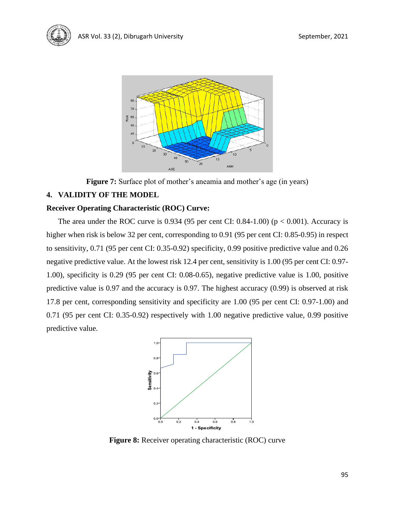

**Figure 7:** Surface plot of mother's aneamia and mother's age (in years)

# **4. VALIDITY OF THE MODEL**

# **Receiver Operating Characteristic (ROC) Curve:**

The area under the ROC curve is 0.934 (95 per cent CI:  $0.84-1.00$ ) ( $p < 0.001$ ). Accuracy is higher when risk is below 32 per cent, corresponding to 0.91 (95 per cent CI: 0.85-0.95) in respect to sensitivity, 0.71 (95 per cent CI: 0.35-0.92) specificity, 0.99 positive predictive value and 0.26 negative predictive value. At the lowest risk 12.4 per cent, sensitivity is 1.00 (95 per cent CI: 0.97- 1.00), specificity is 0.29 (95 per cent CI: 0.08-0.65), negative predictive value is 1.00, positive predictive value is 0.97 and the accuracy is 0.97. The highest accuracy (0.99) is observed at risk 17.8 per cent, corresponding sensitivity and specificity are 1.00 (95 per cent CI: 0.97-1.00) and 0.71 (95 per cent CI: 0.35-0.92) respectively with 1.00 negative predictive value, 0.99 positive predictive value.



**Figure 8:** Receiver operating characteristic (ROC) curve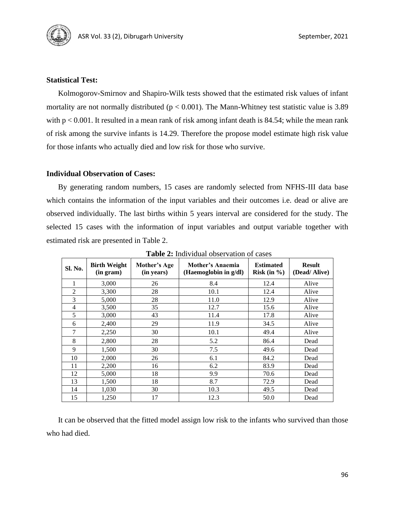

# **Statistical Test:**

Kolmogorov-Smirnov and Shapiro-Wilk tests showed that the estimated risk values of infant mortality are not normally distributed ( $p < 0.001$ ). The Mann-Whitney test statistic value is 3.89 with  $p < 0.001$ . It resulted in a mean rank of risk among infant death is 84.54; while the mean rank of risk among the survive infants is 14.29. Therefore the propose model estimate high risk value for those infants who actually died and low risk for those who survive.

# **Individual Observation of Cases:**

By generating random numbers, 15 cases are randomly selected from NFHS-III data base which contains the information of the input variables and their outcomes i.e. dead or alive are observed individually. The last births within 5 years interval are considered for the study. The selected 15 cases with the information of input variables and output variable together with estimated risk are presented in Table 2.

| Sl. No.        | <b>Birth Weight</b><br>(in gram) | Mother's Age<br>(in years) | Mother's Anaemia<br>(Haemoglobin in g/dl) | <b>Estimated</b><br>Risk (in $\%$ ) | <b>Result</b><br>(Dead/Alive) |
|----------------|----------------------------------|----------------------------|-------------------------------------------|-------------------------------------|-------------------------------|
| 1              | 3,000                            | 26                         | 8.4                                       | 12.4                                | Alive                         |
| $\overline{2}$ | 3,300                            | 28                         | 10.1                                      | 12.4                                | Alive                         |
| 3              | 5,000                            | 28                         | 11.0                                      | 12.9                                | Alive                         |
| 4              | 3,500                            | 35                         | 12.7                                      | 15.6                                | Alive                         |
| 5              | 3,000                            | 43                         | 11.4                                      | 17.8                                | Alive                         |
| 6              | 2,400                            | 29                         | 11.9                                      | 34.5                                | Alive                         |
| 7              | 2,250                            | 30                         | 10.1                                      | 49.4                                | Alive                         |
| 8              | 2,800                            | 28                         | 5.2                                       | 86.4                                | Dead                          |
| 9              | 1,500                            | 30                         | 7.5                                       | 49.6                                | Dead                          |
| 10             | 2,000                            | 26                         | 6.1                                       | 84.2                                | Dead                          |
| 11             | 2,200                            | 16                         | 6.2                                       | 83.9                                | Dead                          |
| 12             | 5,000                            | 18                         | 9.9                                       | 70.6                                | Dead                          |
| 13             | 1,500                            | 18                         | 8.7                                       | 72.9                                | Dead                          |
| 14             | 1,030                            | 30                         | 10.3                                      | 49.5                                | Dead                          |
| 15             | 1,250                            | 17                         | 12.3                                      | 50.0                                | Dead                          |

**Table 2:** Individual observation of cases

It can be observed that the fitted model assign low risk to the infants who survived than those who had died.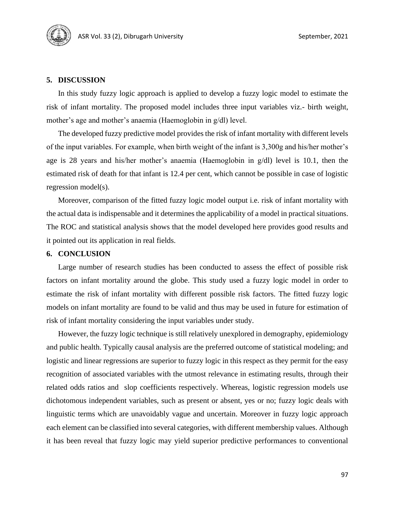

#### **5. DISCUSSION**

In this study fuzzy logic approach is applied to develop a fuzzy logic model to estimate the risk of infant mortality. The proposed model includes three input variables viz.- birth weight, mother's age and mother's anaemia (Haemoglobin in g/dl) level.

The developed fuzzy predictive model provides the risk of infant mortality with different levels of the input variables. For example, when birth weight of the infant is 3,300g and his/her mother's age is 28 years and his/her mother's anaemia (Haemoglobin in g/dl) level is 10.1, then the estimated risk of death for that infant is 12.4 per cent, which cannot be possible in case of logistic regression model(s).

Moreover, comparison of the fitted fuzzy logic model output i.e. risk of infant mortality with the actual data is indispensable and it determines the applicability of a model in practical situations. The ROC and statistical analysis shows that the model developed here provides good results and it pointed out its application in real fields.

#### **6. CONCLUSION**

Large number of research studies has been conducted to assess the effect of possible risk factors on infant mortality around the globe. This study used a fuzzy logic model in order to estimate the risk of infant mortality with different possible risk factors. The fitted fuzzy logic models on infant mortality are found to be valid and thus may be used in future for estimation of risk of infant mortality considering the input variables under study.

However, the fuzzy logic technique is still relatively unexplored in demography, epidemiology and public health. Typically causal analysis are the preferred outcome of statistical modeling; and logistic and linear regressions are superior to fuzzy logic in this respect as they permit for the easy recognition of associated variables with the utmost relevance in estimating results, through their related odds ratios and slop coefficients respectively. Whereas, logistic regression models use dichotomous independent variables, such as present or absent, yes or no; fuzzy logic deals with linguistic terms which are unavoidably vague and uncertain. Moreover in fuzzy logic approach each element can be classified into several categories, with different membership values. Although it has been reveal that fuzzy logic may yield superior predictive performances to conventional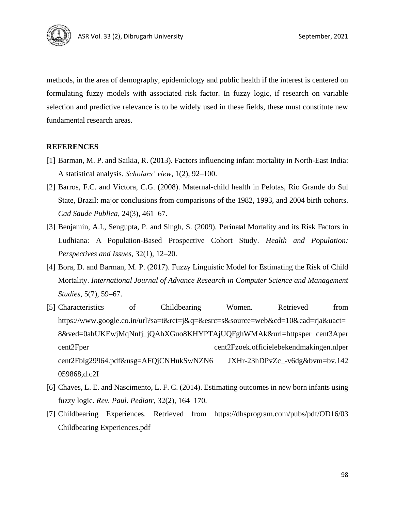

methods, in the area of demography, epidemiology and public health if the interest is centered on formulating fuzzy models with associated risk factor. In fuzzy logic, if research on variable selection and predictive relevance is to be widely used in these fields, these must constitute new fundamental research areas.

# **REFERENCES**

- [1] Barman, M. P. and Saikia, R. (2013). Factors influencing infant mortality in North-East India: A statistical analysis. *Scholars' view*, 1(2), 92–100.
- [2] Barros, F.C. and Victora, C.G. (2008). Maternal-child health in Pelotas, Rio Grande do Sul State, Brazil: major conclusions from comparisons of the 1982, 1993, and 2004 birth cohorts. *Cad Saude Publica*, 24(3), 461–67.
- [3] Benjamin, A.I., Sengupta, P. and Singh, S. (2009). Perinatal Mortality and its Risk Factors in Ludhiana: A Population-Based Prospective Cohort Study. *Health and Population: Perspectives and Issues*, 32(1), 12–20.
- [4] Bora, D. and Barman, M. P. (2017). Fuzzy Linguistic Model for Estimating the Risk of Child Mortality. *International Journal of Advance Research in Computer Science and Management Studies*, 5(7), 59–67.
- [5] Characteristics of Childbearing Women. Retrieved from https://www.google.co.in/url?sa=t&rct=j&q=&esrc=s&source=web&cd=10&cad=rja&uact= 8&ved=0ahUKEwjMqNnfj\_jQAhXGuo8KHYPTAjUQFghWMAk&url=httpsper cent3Aper cent2Fper cent2Fzoek.officielebekendmakingen.nlper cent2Fblg29964.pdf&usg=AFQjCNHukSwNZN6 JXHr-23hDPvZc\_-v6dg&bvm=bv.142 059868,d.c2I
- [6] Chaves, L. E. and Nascimento, L. F. C. (2014). Estimating outcomes in new born infants using fuzzy logic. *Rev. Paul. Pediatr*, 32(2), 164–170*.*
- [7] Childbearing Experiences. Retrieved from https://dhsprogram.com/pubs/pdf/OD16/03 Childbearing Experiences.pdf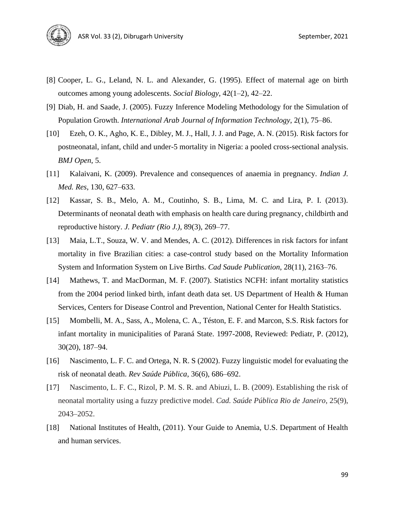

- [8] Cooper, L. G., Leland, N. L. and Alexander, G. (1995). Effect of maternal age on birth outcomes among young adolescents. *Social Biology*, 42(1–2), 42–22.
- [9] Diab, H. and Saade, J. (2005). Fuzzy Inference Modeling Methodology for the Simulation of Population Growth. *International Arab Journal of Information Technology*, 2(1), 75–86.
- [10] Ezeh, O. K., Agho, K. E., Dibley, M. J., Hall, J. J. and Page, A. N. (2015). Risk factors for postneonatal, infant, child and under-5 mortality in Nigeria: a pooled cross-sectional analysis. *BMJ Open*, 5.
- [11] Kalaivani, K. (2009). Prevalence and consequences of anaemia in pregnancy. *Indian J. Med. Res*, 130, 627–633.
- [12] Kassar, S. B., Melo, A. M., Coutinho, S. B., Lima, M. C. and Lira, P. I. (2013). Determinants of neonatal death with emphasis on health care during pregnancy, childbirth and reproductive history. *J. Pediatr (Rio J.)*, 89(3), 269–77.
- [13] Maia, L.T., Souza, W. V. and Mendes, A. C. (2012). Differences in risk factors for infant mortality in five Brazilian cities: a case-control study based on the Mortality Information System and Information System on Live Births. *Cad Saude Publication*, 28(11), 2163–76.
- [14] Mathews, T. and MacDorman, M. F. (2007). Statistics NCFH: infant mortality statistics from the 2004 period linked birth, infant death data set. US Department of Health & Human Services, Centers for Disease Control and Prevention, National Center for Health Statistics.
- [15] Mombelli, M. A., Sass, A., Molena, C. A., Téston, E. F. and Marcon, S.S. Risk factors for infant mortality in municipalities of Paraná State. 1997-2008, Reviewed: Pediatr, P. (2012), 30(20), 187–94.
- [16] Nascimento, L. F. C. and Ortega, N. R. S (2002). Fuzzy linguistic model for evaluating the risk of neonatal death. *Rev Saúde Pública*, 36(6), 686–692.
- [17] Nascimento, L. F. C., Rizol, P. M. S. R. and Abiuzi, L. B. (2009). Establishing the risk of neonatal mortality using a fuzzy predictive model. *Cad. Saúde Pública Rio de Janeiro*, 25(9), 2043–2052.
- [18] National Institutes of Health, (2011). Your Guide to Anemia, U.S. Department of Health and human services.